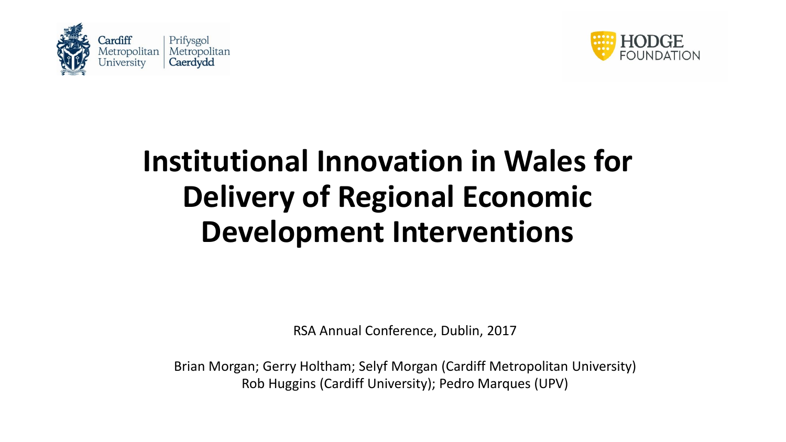



## **Institutional Innovation in Wales for Delivery of Regional Economic Development Interventions**

RSA Annual Conference, Dublin, 2017

Brian Morgan; Gerry Holtham; Selyf Morgan (Cardiff Metropolitan University) Rob Huggins (Cardiff University); Pedro Marques (UPV)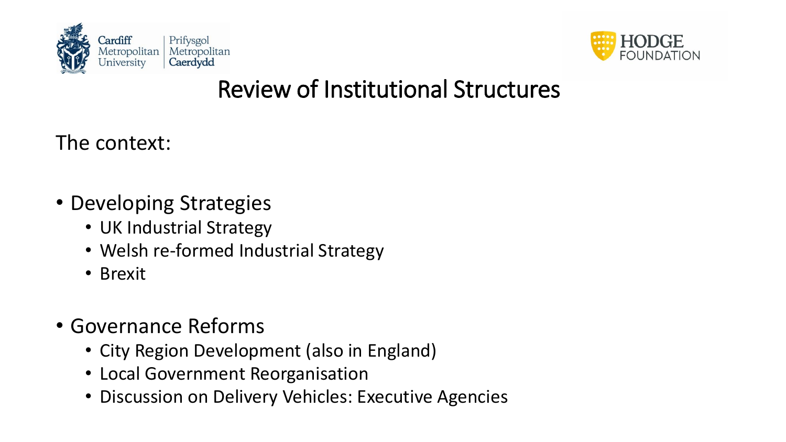



#### Review of Institutional Structures

The context:

- Developing Strategies
	- UK Industrial Strategy
	- Welsh re-formed Industrial Strategy
	- Brexit
- Governance Reforms
	- City Region Development (also in England)
	- Local Government Reorganisation
	- Discussion on Delivery Vehicles: Executive Agencies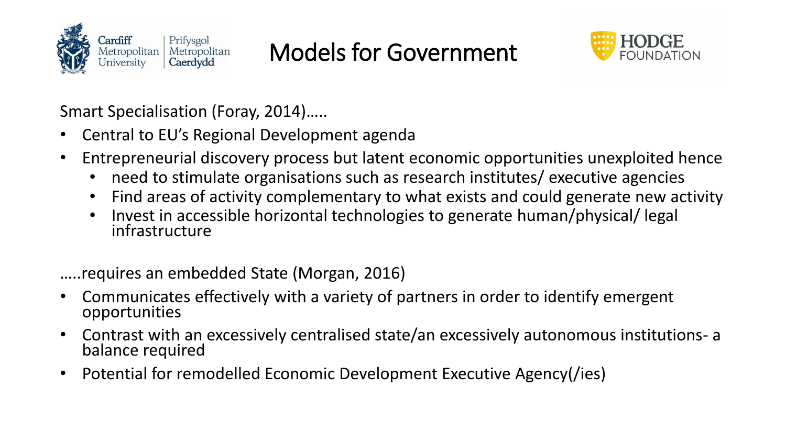

## Models for Government



Smart Specialisation (Foray, 2014)…..

- Central to EU's Regional Development agenda
- Entrepreneurial discovery process but latent economic opportunities unexploited hence
	- need to stimulate organisations such as research institutes/ executive agencies
	- Find areas of activity complementary to what exists and could generate new activity
	- Invest in accessible horizontal technologies to generate human/physical/ legal infrastructure

…..requires an embedded State (Morgan, 2016)

- Communicates effectively with a variety of partners in order to identify emergent opportunities
- Contrast with an excessively centralised state/an excessively autonomous institutions- a balance required
- Potential for remodelled Economic Development Executive Agency(/ies)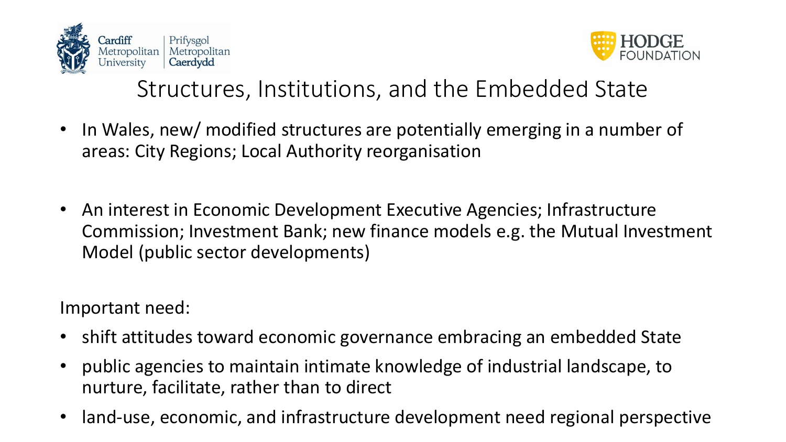



#### Structures, Institutions, and the Embedded State

- In Wales, new/ modified structures are potentially emerging in a number of areas: City Regions; Local Authority reorganisation
- An interest in Economic Development Executive Agencies; Infrastructure Commission; Investment Bank; new finance models e.g. the Mutual Investment Model (public sector developments)

Important need:

- shift attitudes toward economic governance embracing an embedded State
- public agencies to maintain intimate knowledge of industrial landscape, to nurture, facilitate, rather than to direct
- land-use, economic, and infrastructure development need regional perspective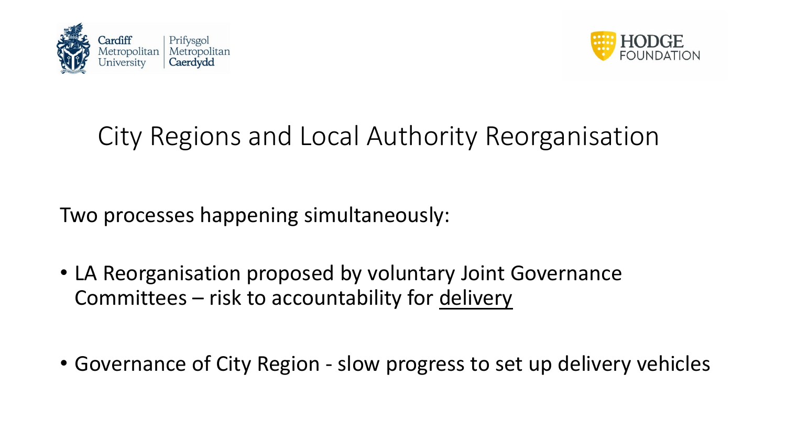



## City Regions and Local Authority Reorganisation

Two processes happening simultaneously:

- LA Reorganisation proposed by voluntary Joint Governance Committees – risk to accountability for delivery
- Governance of City Region slow progress to set up delivery vehicles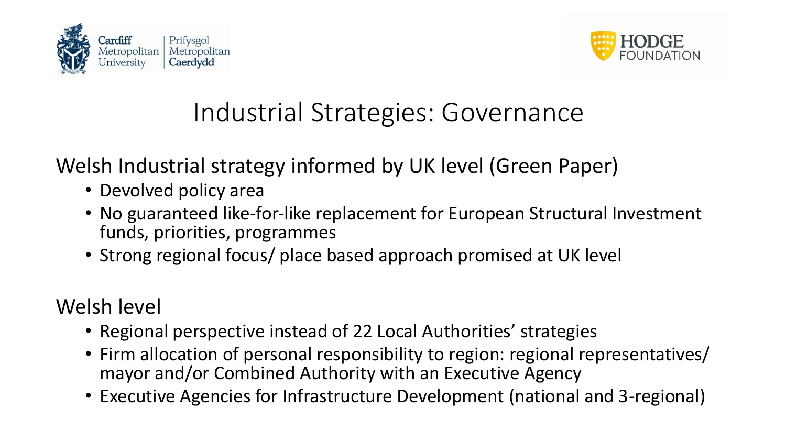



#### Industrial Strategies: Governance

Welsh Industrial strategy informed by UK level (Green Paper)

- Devolved policy area
- No guaranteed like-for-like replacement for European Structural Investment funds, priorities, programmes
- Strong regional focus/ place based approach promised at UK level

Welsh level

- Regional perspective instead of 22 Local Authorities' strategies
- Firm allocation of personal responsibility to region: regional representatives/ mayor and/or Combined Authority with an Executive Agency
- Executive Agencies for Infrastructure Development (national and 3-regional)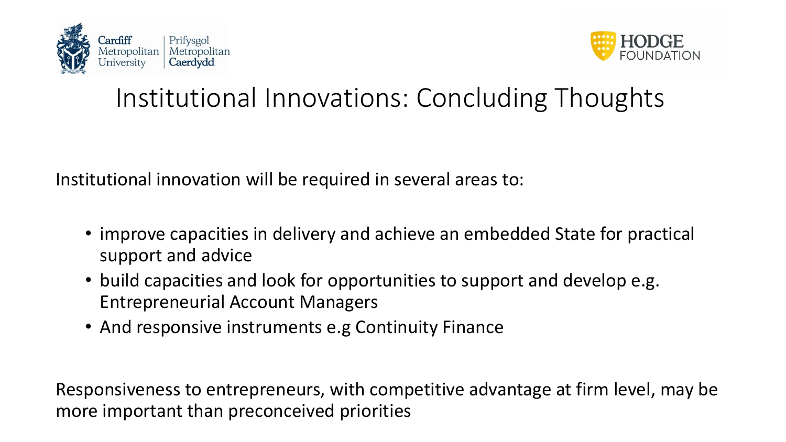



## Institutional Innovations: Concluding Thoughts

Institutional innovation will be required in several areas to:

- improve capacities in delivery and achieve an embedded State for practical support and advice
- build capacities and look for opportunities to support and develop e.g. Entrepreneurial Account Managers
- And responsive instruments e.g Continuity Finance

Responsiveness to entrepreneurs, with competitive advantage at firm level, may be more important than preconceived priorities